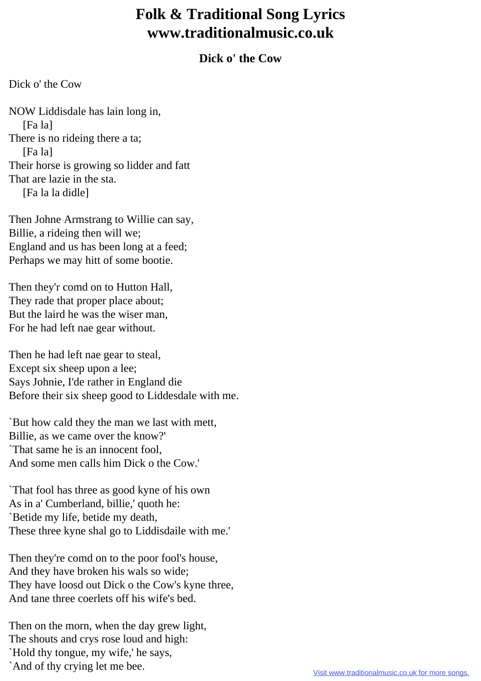## **Folk & Traditional Song Lyrics www.traditionalmusic.co.uk**

## **Dick o' the Cow**

Dick o' the Cow

NOW Liddisdale has lain long in, [Fa la] There is no rideing there a ta; [Fa la] Their horse is growing so lidder and fatt That are lazie in the sta. [Fa la la didle]

Then Johne Armstrang to Willie can say, Billie, a rideing then will we; England and us has been long at a feed; Perhaps we may hitt of some bootie.

Then they'r comd on to Hutton Hall, They rade that proper place about; But the laird he was the wiser man, For he had left nae gear without.

Then he had left nae gear to steal, Except six sheep upon a lee; Says Johnie, I'de rather in England die Before their six sheep good to Liddesdale with me.

`But how cald they the man we last with mett, Billie, as we came over the know?' `That same he is an innocent fool, And some men calls him Dick o the Cow.'

`That fool has three as good kyne of his own As in a' Cumberland, billie,' quoth he: `Betide my life, betide my death, These three kyne shal go to Liddisdaile with me.'

Then they're comd on to the poor fool's house, And they have broken his wals so wide; They have loosd out Dick o the Cow's kyne three, And tane three coerlets off his wife's bed.

Then on the morn, when the day grew light, The shouts and crys rose loud and high: `Hold thy tongue, my wife,' he says, `And of thy crying let me bee.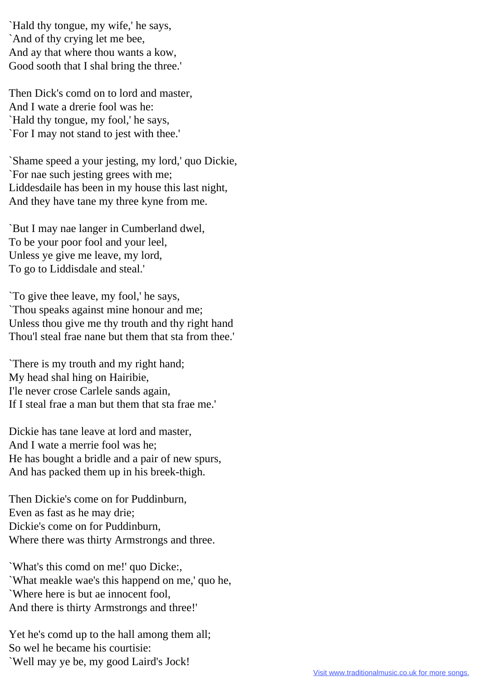`Hald thy tongue, my wife,' he says, `And of thy crying let me bee, And ay that where thou wants a kow, Good sooth that I shal bring the three.'

Then Dick's comd on to lord and master, And I wate a drerie fool was he: `Hald thy tongue, my fool,' he says, `For I may not stand to jest with thee.'

`Shame speed a your jesting, my lord,' quo Dickie, `For nae such jesting grees with me; Liddesdaile has been in my house this last night, And they have tane my three kyne from me.

`But I may nae langer in Cumberland dwel, To be your poor fool and your leel, Unless ye give me leave, my lord, To go to Liddisdale and steal.'

`To give thee leave, my fool,' he says, `Thou speaks against mine honour and me; Unless thou give me thy trouth and thy right hand Thou'l steal frae nane but them that sta from thee.'

`There is my trouth and my right hand; My head shal hing on Hairibie, I'le never crose Carlele sands again, If I steal frae a man but them that sta frae me.'

Dickie has tane leave at lord and master, And I wate a merrie fool was he; He has bought a bridle and a pair of new spurs, And has packed them up in his breek-thigh.

Then Dickie's come on for Puddinburn, Even as fast as he may drie; Dickie's come on for Puddinburn, Where there was thirty Armstrongs and three.

`What's this comd on me!' quo Dicke:, `What meakle wae's this happend on me,' quo he, `Where here is but ae innocent fool, And there is thirty Armstrongs and three!'

Yet he's comd up to the hall among them all; So wel he became his courtisie: `Well may ye be, my good Laird's Jock!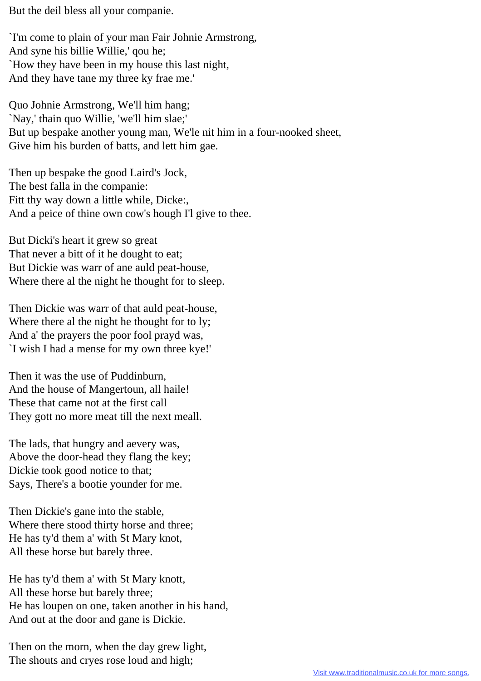But the deil bless all your companie.

`I'm come to plain of your man Fair Johnie Armstrong, And syne his billie Willie,' qou he; `How they have been in my house this last night, And they have tane my three ky frae me.'

Quo Johnie Armstrong, We'll him hang; `Nay,' thain quo Willie, 'we'll him slae;' But up bespake another young man, We'le nit him in a four-nooked sheet, Give him his burden of batts, and lett him gae.

Then up bespake the good Laird's Jock, The best falla in the companie: Fitt thy way down a little while, Dicke:, And a peice of thine own cow's hough I'l give to thee.

But Dicki's heart it grew so great That never a bitt of it he dought to eat; But Dickie was warr of ane auld peat-house, Where there al the night he thought for to sleep.

Then Dickie was warr of that auld peat-house, Where there al the night he thought for to ly; And a' the prayers the poor fool prayd was, `I wish I had a mense for my own three kye!'

Then it was the use of Puddinburn, And the house of Mangertoun, all haile! These that came not at the first call They gott no more meat till the next meall.

The lads, that hungry and aevery was, Above the door-head they flang the key; Dickie took good notice to that; Says, There's a bootie younder for me.

Then Dickie's gane into the stable, Where there stood thirty horse and three; He has ty'd them a' with St Mary knot, All these horse but barely three.

He has ty'd them a' with St Mary knott, All these horse but barely three; He has loupen on one, taken another in his hand, And out at the door and gane is Dickie.

Then on the morn, when the day grew light, The shouts and cryes rose loud and high;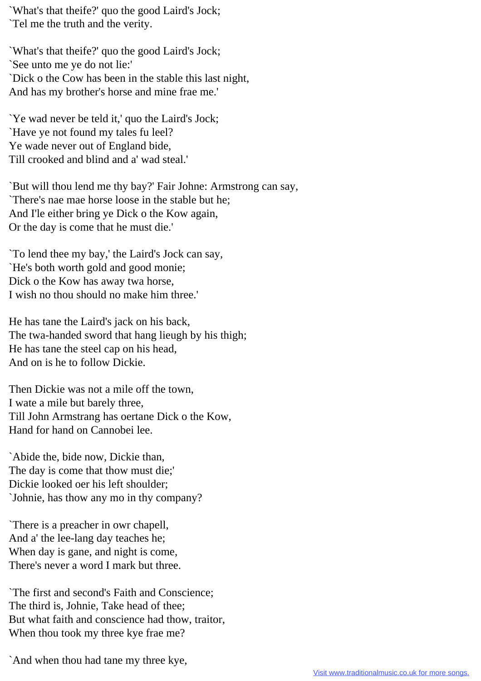`What's that theife?' quo the good Laird's Jock; `Tel me the truth and the verity.

`What's that theife?' quo the good Laird's Jock; `See unto me ye do not lie:' `Dick o the Cow has been in the stable this last night, And has my brother's horse and mine frae me.'

`Ye wad never be teld it,' quo the Laird's Jock; `Have ye not found my tales fu leel? Ye wade never out of England bide, Till crooked and blind and a' wad steal.'

`But will thou lend me thy bay?' Fair Johne: Armstrong can say, `There's nae mae horse loose in the stable but he; And I'le either bring ye Dick o the Kow again, Or the day is come that he must die.'

`To lend thee my bay,' the Laird's Jock can say, `He's both worth gold and good monie; Dick o the Kow has away twa horse, I wish no thou should no make him three.'

He has tane the Laird's jack on his back, The twa-handed sword that hang lieugh by his thigh; He has tane the steel cap on his head, And on is he to follow Dickie.

Then Dickie was not a mile off the town, I wate a mile but barely three, Till John Armstrang has oertane Dick o the Kow, Hand for hand on Cannobei lee.

`Abide the, bide now, Dickie than, The day is come that thow must die;' Dickie looked oer his left shoulder; `Johnie, has thow any mo in thy company?

`There is a preacher in owr chapell, And a' the lee-lang day teaches he; When day is gane, and night is come, There's never a word I mark but three.

`The first and second's Faith and Conscience; The third is, Johnie, Take head of thee; But what faith and conscience had thow, traitor, When thou took my three kye frae me?

`And when thou had tane my three kye,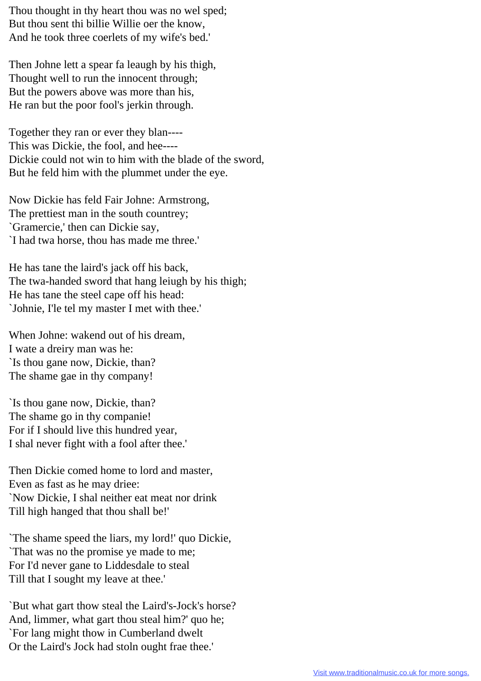Thou thought in thy heart thou was no wel sped; But thou sent thi billie Willie oer the know, And he took three coerlets of my wife's bed.'

Then Johne lett a spear fa leaugh by his thigh, Thought well to run the innocent through; But the powers above was more than his, He ran but the poor fool's jerkin through.

Together they ran or ever they blan---- This was Dickie, the fool, and hee---- Dickie could not win to him with the blade of the sword, But he feld him with the plummet under the eye.

Now Dickie has feld Fair Johne: Armstrong, The prettiest man in the south countrey; `Gramercie,' then can Dickie say, `I had twa horse, thou has made me three.'

He has tane the laird's jack off his back, The twa-handed sword that hang leiugh by his thigh; He has tane the steel cape off his head: `Johnie, I'le tel my master I met with thee.'

When Johne: wakend out of his dream, I wate a dreiry man was he: `Is thou gane now, Dickie, than? The shame gae in thy company!

`Is thou gane now, Dickie, than? The shame go in thy companie! For if I should live this hundred year, I shal never fight with a fool after thee.'

Then Dickie comed home to lord and master, Even as fast as he may driee: `Now Dickie, I shal neither eat meat nor drink Till high hanged that thou shall be!'

`The shame speed the liars, my lord!' quo Dickie, `That was no the promise ye made to me; For I'd never gane to Liddesdale to steal Till that I sought my leave at thee.'

`But what gart thow steal the Laird's-Jock's horse? And, limmer, what gart thou steal him?' quo he; `For lang might thow in Cumberland dwelt Or the Laird's Jock had stoln ought frae thee.'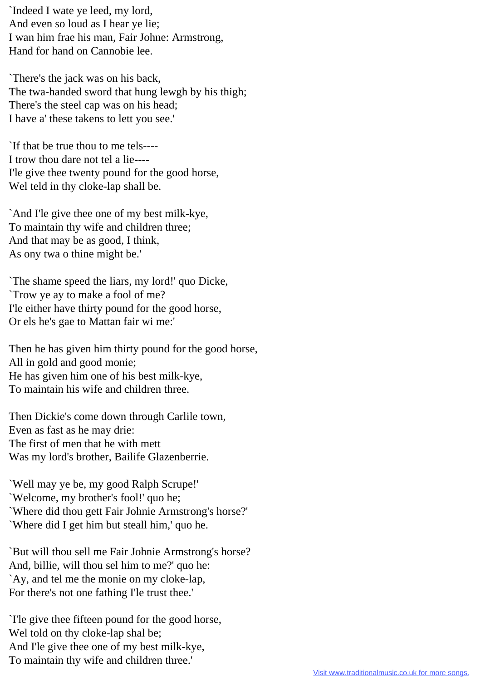`Indeed I wate ye leed, my lord, And even so loud as I hear ye lie; I wan him frae his man, Fair Johne: Armstrong, Hand for hand on Cannobie lee.

`There's the jack was on his back, The twa-handed sword that hung lewgh by his thigh; There's the steel cap was on his head; I have a' these takens to lett you see.'

`If that be true thou to me tels---- I trow thou dare not tel a lie---- I'le give thee twenty pound for the good horse, Wel teld in thy cloke-lap shall be.

`And I'le give thee one of my best milk-kye, To maintain thy wife and children three; And that may be as good, I think, As ony twa o thine might be.'

`The shame speed the liars, my lord!' quo Dicke, `Trow ye ay to make a fool of me? I'le either have thirty pound for the good horse, Or els he's gae to Mattan fair wi me:'

Then he has given him thirty pound for the good horse, All in gold and good monie; He has given him one of his best milk-kye, To maintain his wife and children three.

Then Dickie's come down through Carlile town, Even as fast as he may drie: The first of men that he with mett Was my lord's brother, Bailife Glazenberrie.

`Well may ye be, my good Ralph Scrupe!' `Welcome, my brother's fool!' quo he; `Where did thou gett Fair Johnie Armstrong's horse?' `Where did I get him but steall him,' quo he.

`But will thou sell me Fair Johnie Armstrong's horse? And, billie, will thou sel him to me?' quo he: `Ay, and tel me the monie on my cloke-lap, For there's not one fathing I'le trust thee.'

`I'le give thee fifteen pound for the good horse, Wel told on thy cloke-lap shal be; And I'le give thee one of my best milk-kye, To maintain thy wife and children three.'